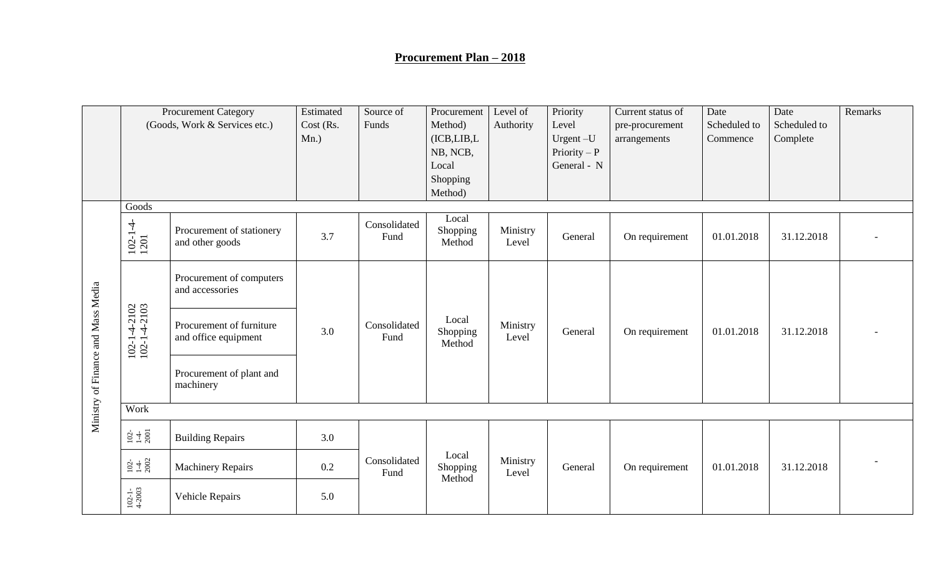## **Procurement Plan – 2018**

|                                    | <b>Procurement Category</b><br>(Goods, Work & Services etc.) |                                                  | Estimated<br>Cost (Rs.<br>$Mn.$ ) | Source of<br>Funds   | Procurement<br>Method)<br>(ICB, LIB, L)<br>NB, NCB,<br>Local<br>Shopping<br>Method) | Level of<br>Authority | Priority<br>Level<br>Urgent-U<br>Priority $-P$<br>General - N | Current status of<br>pre-procurement<br>arrangements | Date<br>Scheduled to<br>Commence | Date<br>Scheduled to<br>Complete | Remarks |
|------------------------------------|--------------------------------------------------------------|--------------------------------------------------|-----------------------------------|----------------------|-------------------------------------------------------------------------------------|-----------------------|---------------------------------------------------------------|------------------------------------------------------|----------------------------------|----------------------------------|---------|
|                                    | Goods<br>$102 - 1 - 4 - 1201$                                | Procurement of stationery<br>and other goods     | 3.7                               | Consolidated<br>Fund | Local<br>Shopping<br>Method                                                         | Ministry<br>Level     | General                                                       | On requirement                                       | 01.01.2018                       | 31.12.2018                       |         |
| Ministry of Finance and Mass Media |                                                              | Procurement of computers<br>and accessories      | 3.0                               | Consolidated<br>Fund | Local<br>Shopping<br>Method                                                         | Ministry<br>Level     | General                                                       | On requirement                                       | 01.01.2018                       | 31.12.2018                       |         |
|                                    | 102-1-4-2102<br>102-1-4-2103                                 | Procurement of furniture<br>and office equipment |                                   |                      |                                                                                     |                       |                                                               |                                                      |                                  |                                  |         |
|                                    |                                                              | Procurement of plant and<br>machinery            |                                   |                      |                                                                                     |                       |                                                               |                                                      |                                  |                                  |         |
|                                    | Work                                                         |                                                  |                                   |                      |                                                                                     |                       |                                                               |                                                      |                                  |                                  |         |
|                                    | $102 - 100$                                                  | <b>Building Repairs</b>                          | 3.0                               |                      |                                                                                     |                       |                                                               | On requirement                                       | 01.01.2018                       | 31.12.2018                       |         |
|                                    | $\frac{102}{1-4}$                                            | <b>Machinery Repairs</b>                         | 0.2                               | Consolidated<br>Fund | Local<br>Shopping<br>Method                                                         | Ministry<br>Level     | General                                                       |                                                      |                                  |                                  |         |
|                                    | $102 - 1 -$<br>4-2003                                        | Vehicle Repairs                                  | 5.0                               |                      |                                                                                     |                       |                                                               |                                                      |                                  |                                  |         |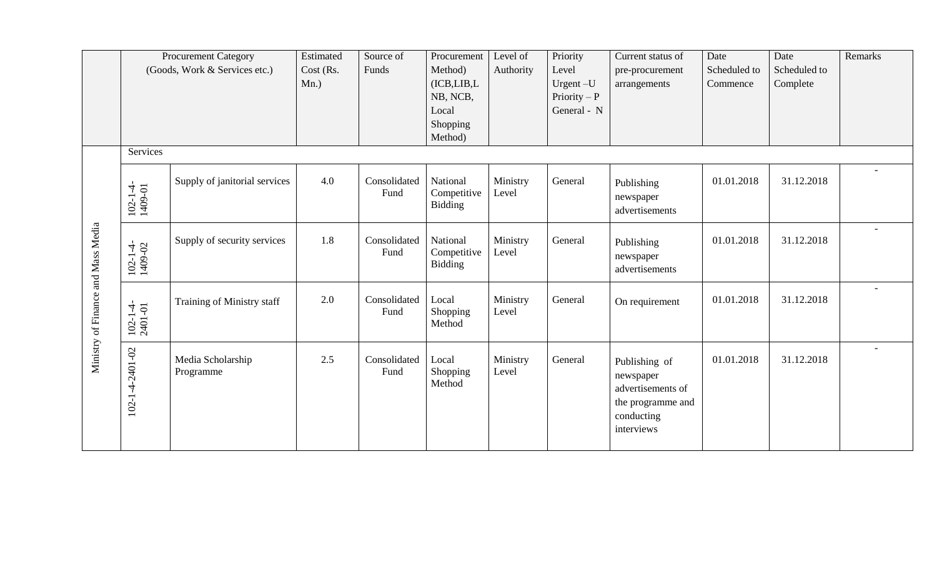|                                    |                               | Procurement Category           | Estimated | Source of            | Procurement                               | Level of          | Priority       | Current status of                                                                                | Date         | Date         | Remarks                  |
|------------------------------------|-------------------------------|--------------------------------|-----------|----------------------|-------------------------------------------|-------------------|----------------|--------------------------------------------------------------------------------------------------|--------------|--------------|--------------------------|
|                                    | (Goods, Work & Services etc.) |                                | Cost (Rs. | Funds                | Method)                                   | Authority         | Level          | pre-procurement                                                                                  | Scheduled to | Scheduled to |                          |
|                                    |                               |                                | $Mn.$ )   |                      | (ICB, LIB, L)                             |                   | Urgent-U       | arrangements                                                                                     | Commence     | Complete     |                          |
|                                    |                               |                                |           |                      | NB, NCB,                                  |                   | $Priority - P$ |                                                                                                  |              |              |                          |
|                                    |                               |                                |           |                      | Local                                     |                   | General - N    |                                                                                                  |              |              |                          |
|                                    |                               |                                |           |                      | Shopping                                  |                   |                |                                                                                                  |              |              |                          |
|                                    |                               |                                |           |                      | Method)                                   |                   |                |                                                                                                  |              |              |                          |
|                                    | Services                      |                                |           |                      |                                           |                   |                |                                                                                                  |              |              |                          |
| Ministry of Finance and Mass Media | $102 - 1 - 4 - 1409 - 01$     | Supply of janitorial services  | 4.0       | Consolidated<br>Fund | National<br>Competitive<br>Bidding        | Ministry<br>Level | General        | Publishing<br>newspaper<br>advertisements                                                        | 01.01.2018   | 31.12.2018   | $\overline{\phantom{a}}$ |
|                                    | $102 - 1 - 4 - 1409 - 02$     | Supply of security services    | 1.8       | Consolidated<br>Fund | National<br>Competitive<br><b>Bidding</b> | Ministry<br>Level | General        | Publishing<br>newspaper<br>advertisements                                                        | 01.01.2018   | 31.12.2018   | $\overline{\phantom{0}}$ |
|                                    | $102 - 1 - 4 - 2401 - 01$     | Training of Ministry staff     | 2.0       | Consolidated<br>Fund | Local<br>Shopping<br>Method               | Ministry<br>Level | General        | On requirement                                                                                   | 01.01.2018   | 31.12.2018   |                          |
|                                    | 102-1-4-2401-02               | Media Scholarship<br>Programme | 2.5       | Consolidated<br>Fund | Local<br>Shopping<br>Method               | Ministry<br>Level | General        | Publishing of<br>newspaper<br>advertisements of<br>the programme and<br>conducting<br>interviews | 01.01.2018   | 31.12.2018   |                          |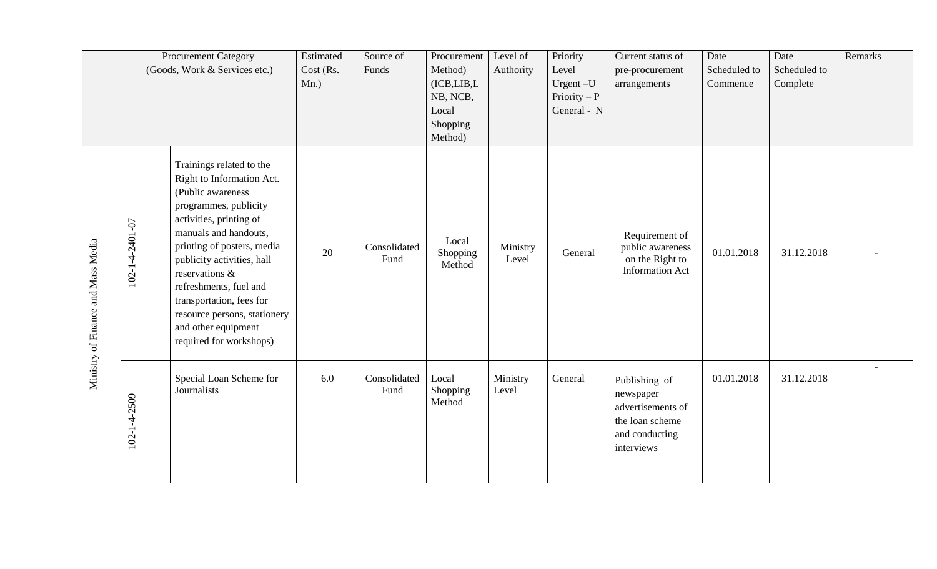|                                    |                 | <b>Procurement Category</b><br>(Goods, Work & Services etc.)                                                                                                                                                                                                                                                                                                                  |     | Source of<br>Funds   | Procurement<br>Method)<br>(ICB, LIB, L)<br>NB, NCB,<br>Local<br>Shopping<br>Method) | Level of<br>Authority | Priority<br>Level<br>Urgent-U<br>$Priority - P$<br>General - N | Current status of<br>pre-procurement<br>arrangements                                               | Date<br>Scheduled to<br>Commence | Date<br>Scheduled to<br>Complete | Remarks |
|------------------------------------|-----------------|-------------------------------------------------------------------------------------------------------------------------------------------------------------------------------------------------------------------------------------------------------------------------------------------------------------------------------------------------------------------------------|-----|----------------------|-------------------------------------------------------------------------------------|-----------------------|----------------------------------------------------------------|----------------------------------------------------------------------------------------------------|----------------------------------|----------------------------------|---------|
| Ministry of Finance and Mass Media | 102-1-4-2401-07 | Trainings related to the<br>Right to Information Act.<br>(Public awareness<br>programmes, publicity<br>activities, printing of<br>manuals and handouts,<br>printing of posters, media<br>publicity activities, hall<br>reservations &<br>refreshments, fuel and<br>transportation, fees for<br>resource persons, stationery<br>and other equipment<br>required for workshops) | 20  | Consolidated<br>Fund | Local<br>Shopping<br>Method                                                         | Ministry<br>Level     | General                                                        | Requirement of<br>public awareness<br>on the Right to<br><b>Information Act</b>                    | 01.01.2018                       | 31.12.2018                       |         |
|                                    | 102-1-4-2509    | Special Loan Scheme for<br>Journalists                                                                                                                                                                                                                                                                                                                                        | 6.0 | Consolidated<br>Fund | Local<br>Shopping<br>Method                                                         | Ministry<br>Level     | General                                                        | Publishing of<br>newspaper<br>advertisements of<br>the loan scheme<br>and conducting<br>interviews | 01.01.2018                       | 31.12.2018                       |         |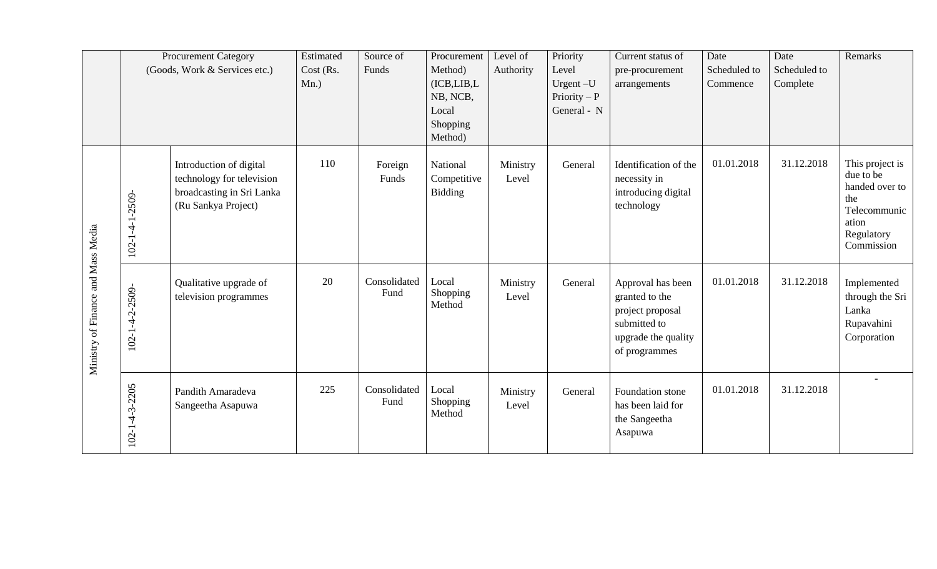|                                    |                          | <b>Procurement Category</b>                                                                              | Estimated | Source of            | Procurement                               | Level of          | Priority      | Current status of                                                                                               | Date         | Date         | Remarks                                                                                                    |
|------------------------------------|--------------------------|----------------------------------------------------------------------------------------------------------|-----------|----------------------|-------------------------------------------|-------------------|---------------|-----------------------------------------------------------------------------------------------------------------|--------------|--------------|------------------------------------------------------------------------------------------------------------|
|                                    |                          | (Goods, Work & Services etc.)                                                                            | Cost (Rs. | Funds                | Method)                                   | Authority         | Level         | pre-procurement                                                                                                 | Scheduled to | Scheduled to |                                                                                                            |
|                                    |                          |                                                                                                          | $Mn.$ )   |                      | (ICB, LIB, L)                             |                   | Urgent-U      | arrangements                                                                                                    | Commence     | Complete     |                                                                                                            |
|                                    |                          |                                                                                                          |           |                      | NB, NCB,                                  |                   | Priority $-P$ |                                                                                                                 |              |              |                                                                                                            |
|                                    |                          |                                                                                                          |           |                      | Local                                     |                   | General - N   |                                                                                                                 |              |              |                                                                                                            |
|                                    |                          |                                                                                                          |           |                      | Shopping                                  |                   |               |                                                                                                                 |              |              |                                                                                                            |
|                                    |                          |                                                                                                          |           |                      | Method)                                   |                   |               |                                                                                                                 |              |              |                                                                                                            |
|                                    | $102 - 1 - 4 - 1 - 2509$ | Introduction of digital<br>technology for television<br>broadcasting in Sri Lanka<br>(Ru Sankya Project) | 110       | Foreign<br>Funds     | National<br>Competitive<br><b>Bidding</b> | Ministry<br>Level | General       | Identification of the<br>necessity in<br>introducing digital<br>technology                                      | 01.01.2018   | 31.12.2018   | This project is<br>due to be<br>handed over to<br>the<br>Telecommunic<br>ation<br>Regulatory<br>Commission |
| Ministry of Finance and Mass Media | $102 - 1 - 4 - 2 - 2509$ | Qualitative upgrade of<br>television programmes                                                          | 20        | Consolidated<br>Fund | Local<br>Shopping<br>Method               | Ministry<br>Level | General       | Approval has been<br>granted to the<br>project proposal<br>submitted to<br>upgrade the quality<br>of programmes | 01.01.2018   | 31.12.2018   | Implemented<br>through the Sri<br>Lanka<br>Rupavahini<br>Corporation                                       |
|                                    | $102 - 1 - 4 - 3 - 2205$ | Pandith Amaradeva<br>Sangeetha Asapuwa                                                                   | 225       | Consolidated<br>Fund | Local<br>Shopping<br>Method               | Ministry<br>Level | General       | Foundation stone<br>has been laid for<br>the Sangeetha<br>Asapuwa                                               | 01.01.2018   | 31.12.2018   |                                                                                                            |